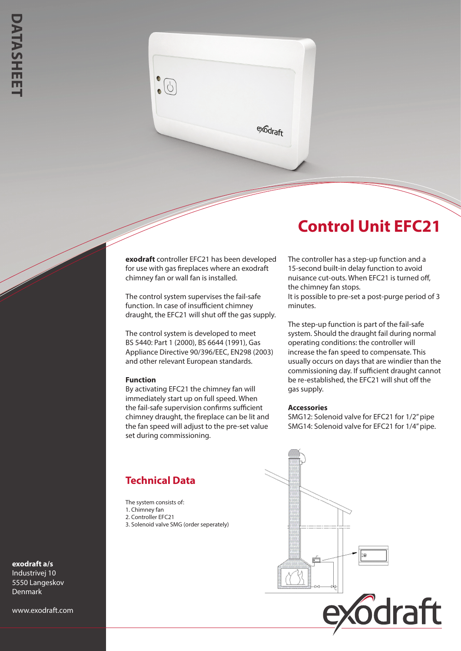

## **Control Unit EFC21**

**exodraft** controller EFC21 has been developed for use with gas fireplaces where an exodraft chimney fan or wall fan is installed.

The control system supervises the fail-safe function. In case of insufficient chimney draught, the EFC21 will shut off the gas supply.

The control system is developed to meet BS 5440: Part 1 (2000), BS 6644 (1991), Gas Appliance Directive 90/396/EEC, EN298 (2003) and other relevant European standards.

## **Function**

By activating EFC21 the chimney fan will immediately start up on full speed. When the fail-safe supervision confirms sufficient chimney draught, the fireplace can be lit and the fan speed will adjust to the pre-set value set during commissioning.

The controller has a step-up function and a 15-second built-in delay function to avoid nuisance cut-outs. When EFC21 is turned off, the chimney fan stops.

It is possible to pre-set a post-purge period of 3 minutes.

The step-up function is part of the fail-safe system. Should the draught fail during normal operating conditions: the controller will increase the fan speed to compensate. This usually occurs on days that are windier than the commissioning day. If sufficient draught cannot be re-established, the EFC21 will shut off the gas supply.

## **Accessories**

SMG12: Solenoid valve for EFC21 for 1/2" pipe SMG14: Solenoid valve for EFC21 for 1/4" pipe.

## **Technical Data**

The system consists of: 1. Chimney fan 2. Controller EFC21 3. Solenoid valve SMG (order seperately)



**exodraft a/s**

Industrivej 10 5550 Langeskov Denmark

www.exodraft.com